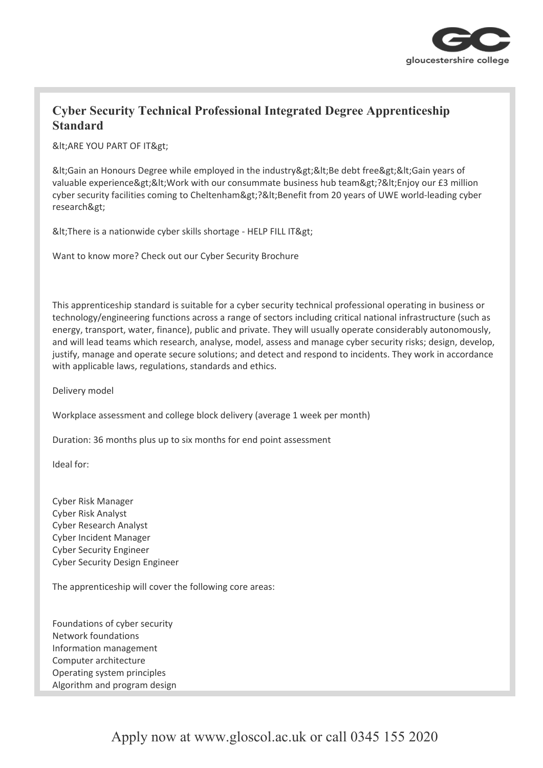

## **Cyber Security Technical Professional Integrated Degree Apprenticeship Standard**

&It; ARE YOU PART OF IT>

< Gain an Honours Degree while employed in the industry &gt; &lt; Be debt free &gt; &lt; Gain years of valuable experience><Work with our consummate business hub team&gt;?&lt;Enjoy our £3 million cyber security facilities coming to Cheltenham>?<Benefit from 20 years of UWE world-leading cyber research>

&It; There is a nationwide cyber skills shortage - HELP FILL IT>

Want to know more? Check out our Cyber Security Brochure

This apprenticeship standard is suitable for a cyber security technical professional operating in business or technology/engineering functions across a range of sectors including critical national infrastructure (such as energy, transport, water, finance), public and private. They will usually operate considerably autonomously, and will lead teams which research, analyse, model, assess and manage cyber security risks; design, develop, justify, manage and operate secure solutions; and detect and respond to incidents. They work in accordance with applicable laws, regulations, standards and ethics.

Delivery model

Workplace assessment and college block delivery (average 1 week per month)

Duration: 36 months plus up to six months for end point assessment

Ideal for:

Cyber Risk Manager Cyber Risk Analyst Cyber Research Analyst Cyber Incident Manager Cyber Security Engineer Cyber Security Design Engineer

The apprenticeship will cover the following core areas:

Foundations of cyber security Network foundations Information management Computer architecture Operating system principles Algorithm and program design

Apply now at www.gloscol.ac.uk or call 0345 155 2020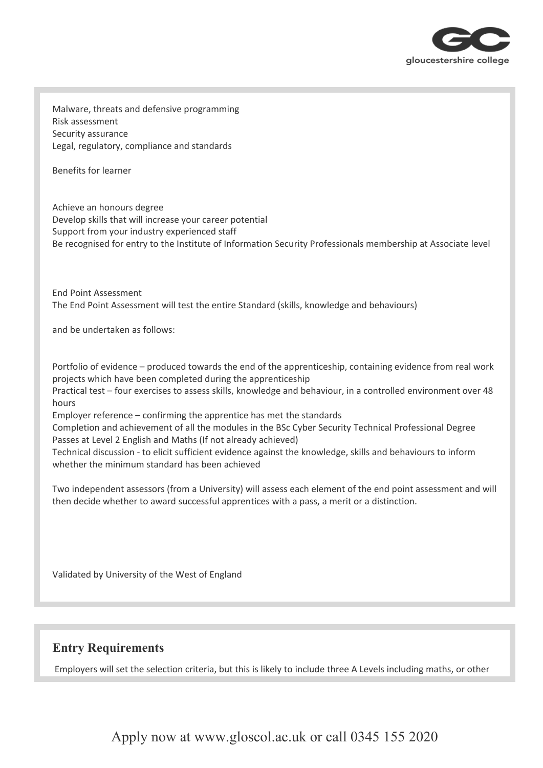

Malware, threats and defensive programming Risk assessment Security assurance Legal, regulatory, compliance and standards

Benefits for learner

Achieve an honours degree Develop skills that will increase your career potential Support from your industry experienced staff Be recognised for entry to the Institute of Information Security Professionals membership at Associate level

End Point Assessment The End Point Assessment will test the entire Standard (skills, knowledge and behaviours)

and be undertaken as follows:

Portfolio of evidence – produced towards the end of the apprenticeship, containing evidence from real work projects which have been completed during the apprenticeship

Practical test – four exercises to assess skills, knowledge and behaviour, in a controlled environment over 48 hours

Employer reference – confirming the apprentice has met the standards

Completion and achievement of all the modules in the BSc Cyber Security Technical Professional Degree Passes at Level 2 English and Maths (If not already achieved)

Technical discussion - to elicit sufficient evidence against the knowledge, skills and behaviours to inform whether the minimum standard has been achieved

Two independent assessors (from a University) will assess each element of the end point assessment and will then decide whether to award successful apprentices with a pass, a merit or a distinction.

Validated by University of the West of England

## **Entry Requirements**

Employers will set the selection criteria, but this is likely to include three A Levels including maths, or other

Apply now at www.gloscol.ac.uk or call 0345 155 2020